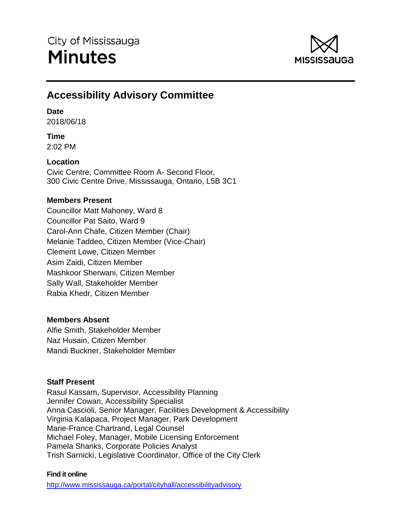

# **Accessibility Advisory Committee**

# **Date**

2018/06/18

# **Time**

2:02 PM

# **Location**

Civic Centre, Committee Room A- Second Floor, 300 Civic Centre Drive, Mississauga, Ontario, L5B 3C1

# **Members Present**

Councillor Matt Mahoney, Ward 8 Councillor Pat Saito, Ward 9 Carol-Ann Chafe, Citizen Member (Chair) Melanie Taddeo, Citizen Member (Vice-Chair) Clement Lowe, Citizen Member Asim Zaidi, Citizen Member Mashkoor Sherwani, Citizen Member Sally Wall, Stakeholder Member Rabia Khedr, Citizen Member

# **Members Absent**

Alfie Smith, Stakeholder Member Naz Husain, Citizen Member Mandi Buckner, Stakeholder Member

# **Staff Present**

Rasul Kassam, Supervisor, Accessibility Planning Jennifer Cowan, Accessibility Specialist Anna Cascioli, Senior Manager, Facilities Development & Accessibility Virginia Kalapaca, Project Manager, Park Development Marie-France Chartrand, Legal Counsel Michael Foley, Manager, Mobile Licensing Enforcement Pamela Shanks, Corporate Policies Analyst Trish Sarnicki, Legislative Coordinator, Office of the City Clerk

# **Find it online**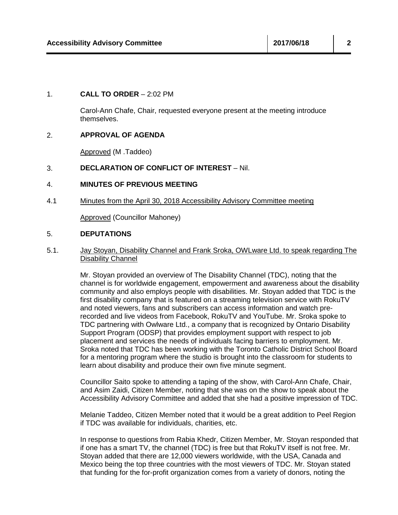#### 1. **CALL TO ORDER** – 2:02 PM

Carol-Ann Chafe, Chair, requested everyone present at the meeting introduce themselves.

#### 2. **APPROVAL OF AGENDA**

Approved (M .Taddeo)

### 3. **DECLARATION OF CONFLICT OF INTEREST** – Nil.

#### 4. **MINUTES OF PREVIOUS MEETING**

4.1 Minutes from the April 30, 2018 Accessibility Advisory Committee meeting

Approved (Councillor Mahoney)

#### 5. **DEPUTATIONS**

5.1. Jay Stoyan, Disability Channel and Frank Sroka, OWLware Ltd. to speak regarding The Disability Channel

> Mr. Stoyan provided an overview of The Disability Channel (TDC), noting that the channel is for worldwide engagement, empowerment and awareness about the disability community and also employs people with disabilities. Mr. Stoyan added that TDC is the first disability company that is featured on a streaming television service with RokuTV and noted viewers, fans and subscribers can access information and watch prerecorded and live videos from Facebook, RokuTV and YouTube. Mr. Sroka spoke to TDC partnering with Owlware Ltd., a company that is recognized by Ontario Disability Support Program (ODSP) that provides employment support with respect to job placement and services the needs of individuals facing barriers to employment. Mr. Sroka noted that TDC has been working with the Toronto Catholic District School Board for a mentoring program where the studio is brought into the classroom for students to learn about disability and produce their own five minute segment.

> Councillor Saito spoke to attending a taping of the show, with Carol-Ann Chafe, Chair, and Asim Zaidi, Citizen Member, noting that she was on the show to speak about the Accessibility Advisory Committee and added that she had a positive impression of TDC.

> Melanie Taddeo, Citizen Member noted that it would be a great addition to Peel Region if TDC was available for individuals, charities, etc.

> In response to questions from Rabia Khedr, Citizen Member, Mr. Stoyan responded that if one has a smart TV, the channel (TDC) is free but that RokuTV itself is not free. Mr. Stoyan added that there are 12,000 viewers worldwide, with the USA, Canada and Mexico being the top three countries with the most viewers of TDC. Mr. Stoyan stated that funding for the for-profit organization comes from a variety of donors, noting the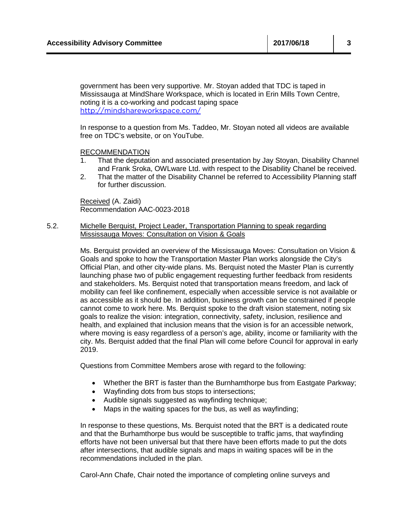government has been very supportive. Mr. Stoyan added that TDC is taped in Mississauga at MindShare Workspace, which is located in Erin Mills Town Centre, noting it is a co-working and podcast taping space <http://mindshareworkspace.com/>

In response to a question from Ms. Taddeo, Mr. Stoyan noted all videos are available free on TDC's website, or on YouTube.

#### RECOMMENDATION

- 1. That the deputation and associated presentation by Jay Stoyan, Disability Channel and Frank Sroka, OWLware Ltd. with respect to the Disability Chanel be received.
- 2. That the matter of the Disability Channel be referred to Accessibility Planning staff for further discussion.

Received (A. Zaidi) Recommendation AAC-0023-2018

5.2. Michelle Berquist, Project Leader, Transportation Planning to speak regarding Mississauga Moves: Consultation on Vision & Goals

> Ms. Berquist provided an overview of the Mississauga Moves: Consultation on Vision & Goals and spoke to how the Transportation Master Plan works alongside the City's Official Plan, and other city-wide plans. Ms. Berquist noted the Master Plan is currently launching phase two of public engagement requesting further feedback from residents and stakeholders. Ms. Berquist noted that transportation means freedom, and lack of mobility can feel like confinement, especially when accessible service is not available or as accessible as it should be. In addition, business growth can be constrained if people cannot come to work here. Ms. Berquist spoke to the draft vision statement, noting six goals to realize the vision: integration, connectivity, safety, inclusion, resilience and health, and explained that inclusion means that the vision is for an accessible network, where moving is easy regardless of a person's age, ability, income or familiarity with the city. Ms. Berquist added that the final Plan will come before Council for approval in early 2019.

Questions from Committee Members arose with regard to the following:

- Whether the BRT is faster than the Burnhamthorpe bus from Eastgate Parkway;
- Wayfinding dots from bus stops to intersections;
- Audible signals suggested as wayfinding technique;
- Maps in the waiting spaces for the bus, as well as wayfinding;

In response to these questions, Ms. Berquist noted that the BRT is a dedicated route and that the Burhamthorpe bus would be susceptible to traffic jams, that wayfinding efforts have not been universal but that there have been efforts made to put the dots after intersections, that audible signals and maps in waiting spaces will be in the recommendations included in the plan.

Carol-Ann Chafe, Chair noted the importance of completing online surveys and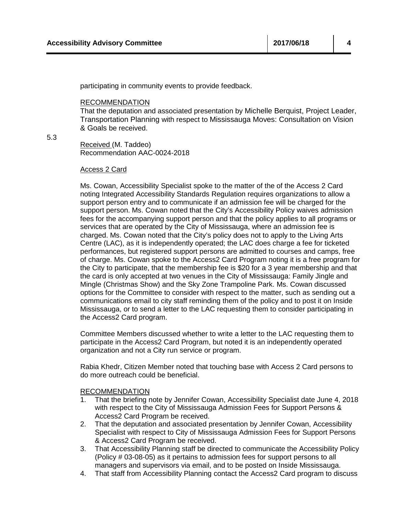participating in community events to provide feedback.

#### RECOMMENDATION

That the deputation and associated presentation by Michelle Berquist, Project Leader, Transportation Planning with respect to Mississauga Moves: Consultation on Vision & Goals be received.

5.3

Received (M. Taddeo) Recommendation AAC-0024-2018

#### Access 2 Card

Ms. Cowan, Accessibility Specialist spoke to the matter of the of the Access 2 Card noting Integrated Accessibility Standards Regulation requires organizations to allow a support person entry and to communicate if an admission fee will be charged for the support person. Ms. Cowan noted that the City's Accessibility Policy waives admission fees for the accompanying support person and that the policy applies to all programs or services that are operated by the City of Mississauga, where an admission fee is charged. Ms. Cowan noted that the City's policy does not to apply to the Living Arts Centre (LAC), as it is independently operated; the LAC does charge a fee for ticketed performances, but registered support persons are admitted to courses and camps, free of charge. Ms. Cowan spoke to the Access2 Card Program noting it is a free program for the City to participate, that the membership fee is \$20 for a 3 year membership and that the card is only accepted at two venues in the City of Mississauga: Family Jingle and Mingle (Christmas Show) and the Sky Zone Trampoline Park. Ms. Cowan discussed options for the Committee to consider with respect to the matter, such as sending out a communications email to city staff reminding them of the policy and to post it on Inside Mississauga, or to send a letter to the LAC requesting them to consider participating in the Access2 Card program.

Committee Members discussed whether to write a letter to the LAC requesting them to participate in the Access2 Card Program, but noted it is an independently operated organization and not a City run service or program.

Rabia Khedr, Citizen Member noted that touching base with Access 2 Card persons to do more outreach could be beneficial.

### RECOMMENDATION

- 1. That the briefing note by Jennifer Cowan, Accessibility Specialist date June 4, 2018 with respect to the City of Mississauga Admission Fees for Support Persons & Access2 Card Program be received.
- 2. That the deputation and associated presentation by Jennifer Cowan, Accessibility Specialist with respect to City of Mississauga Admission Fees for Support Persons & Access2 Card Program be received.
- 3. That Accessibility Planning staff be directed to communicate the Accessibility Policy (Policy # 03-08-05) as it pertains to admission fees for support persons to all managers and supervisors via email, and to be posted on Inside Mississauga.
- 4. That staff from Accessibility Planning contact the Access2 Card program to discuss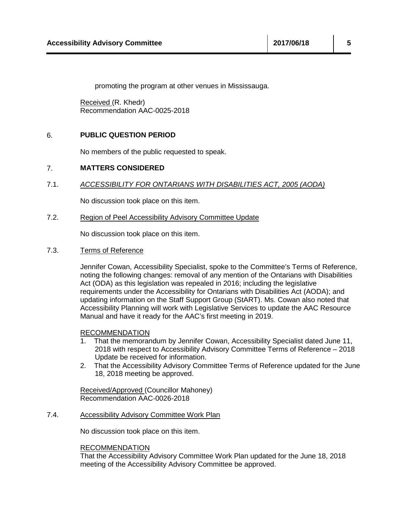promoting the program at other venues in Mississauga.

Received (R. Khedr) Recommendation AAC-0025-2018

### 6. **PUBLIC QUESTION PERIOD**

No members of the public requested to speak.

### 7. **MATTERS CONSIDERED**

7.1. *ACCESSIBILITY FOR ONTARIANS WITH DISABILITIES ACT, 2005 (AODA)*

No discussion took place on this item.

#### 7.2. Region of Peel Accessibility Advisory Committee Update

No discussion took place on this item.

7.3. Terms of Reference

Jennifer Cowan, Accessibility Specialist, spoke to the Committee's Terms of Reference, noting the following changes: removal of any mention of the Ontarians with Disabilities Act (ODA) as this legislation was repealed in 2016; including the legislative requirements under the Accessibility for Ontarians with Disabilities Act (AODA); and updating information on the Staff Support Group (StART). Ms. Cowan also noted that Accessibility Planning will work with Legislative Services to update the AAC Resource Manual and have it ready for the AAC's first meeting in 2019.

### **RECOMMENDATION**

- 1. That the memorandum by Jennifer Cowan, Accessibility Specialist dated June 11, 2018 with respect to Accessibility Advisory Committee Terms of Reference – 2018 Update be received for information.
- 2. That the Accessibility Advisory Committee Terms of Reference updated for the June 18, 2018 meeting be approved.

Received/Approved (Councillor Mahoney) Recommendation AAC-0026-2018

### 7.4. Accessibility Advisory Committee Work Plan

No discussion took place on this item.

#### RECOMMENDATION

That the Accessibility Advisory Committee Work Plan updated for the June 18, 2018 meeting of the Accessibility Advisory Committee be approved.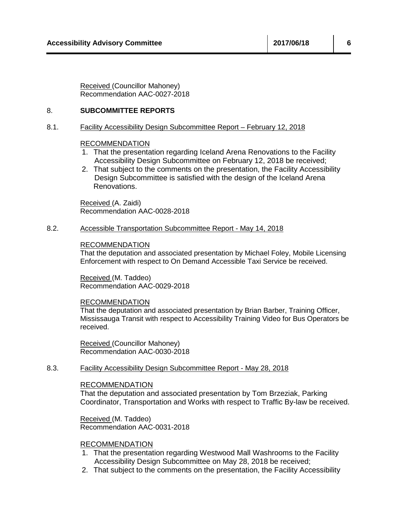Received (Councillor Mahoney) Recommendation AAC-0027-2018

#### 8. **SUBCOMMITTEE REPORTS**

#### 8.1. Facility Accessibility Design Subcommittee Report – February 12, 2018

#### RECOMMENDATION

- 1. That the presentation regarding Iceland Arena Renovations to the Facility Accessibility Design Subcommittee on February 12, 2018 be received;
- 2. That subject to the comments on the presentation, the Facility Accessibility Design Subcommittee is satisfied with the design of the Iceland Arena Renovations.

Received (A. Zaidi) Recommendation AAC-0028-2018

#### 8.2. Accessible Transportation Subcommittee Report - May 14, 2018

#### RECOMMENDATION

That the deputation and associated presentation by Michael Foley, Mobile Licensing Enforcement with respect to On Demand Accessible Taxi Service be received.

Received (M. Taddeo) Recommendation AAC-0029-2018

#### RECOMMENDATION

That the deputation and associated presentation by Brian Barber, Training Officer, Mississauga Transit with respect to Accessibility Training Video for Bus Operators be received.

Received (Councillor Mahoney) Recommendation AAC-0030-2018

#### 8.3. Facility Accessibility Design Subcommittee Report - May 28, 2018

#### RECOMMENDATION

That the deputation and associated presentation by Tom Brzeziak, Parking Coordinator, Transportation and Works with respect to Traffic By-law be received.

Received (M. Taddeo) Recommendation AAC-0031-2018

### RECOMMENDATION

- 1. That the presentation regarding Westwood Mall Washrooms to the Facility Accessibility Design Subcommittee on May 28, 2018 be received;
- 2. That subject to the comments on the presentation, the Facility Accessibility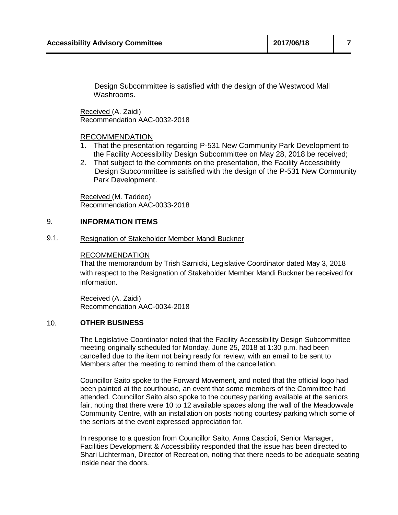Design Subcommittee is satisfied with the design of the Westwood Mall Washrooms.

Received (A. Zaidi) Recommendation AAC-0032-2018

### RECOMMENDATION

- 1. That the presentation regarding P-531 New Community Park Development to the Facility Accessibility Design Subcommittee on May 28, 2018 be received;
- 2. That subject to the comments on the presentation, the Facility Accessibility Design Subcommittee is satisfied with the design of the P-531 New Community Park Development.

Received (M. Taddeo) Recommendation AAC-0033-2018

#### 9. **INFORMATION ITEMS**

#### 9.1. Resignation of Stakeholder Member Mandi Buckner

#### RECOMMENDATION

That the memorandum by Trish Sarnicki, Legislative Coordinator dated May 3, 2018 with respect to the Resignation of Stakeholder Member Mandi Buckner be received for information.

Received (A. Zaidi) Recommendation AAC-0034-2018

#### 10. **OTHER BUSINESS**

The Legislative Coordinator noted that the Facility Accessibility Design Subcommittee meeting originally scheduled for Monday, June 25, 2018 at 1:30 p.m. had been cancelled due to the item not being ready for review, with an email to be sent to Members after the meeting to remind them of the cancellation.

Councillor Saito spoke to the Forward Movement, and noted that the official logo had been painted at the courthouse, an event that some members of the Committee had attended. Councillor Saito also spoke to the courtesy parking available at the seniors fair, noting that there were 10 to 12 available spaces along the wall of the Meadowvale Community Centre, with an installation on posts noting courtesy parking which some of the seniors at the event expressed appreciation for.

In response to a question from Councillor Saito, Anna Cascioli, Senior Manager, Facilities Development & Accessibility responded that the issue has been directed to Shari Lichterman, Director of Recreation, noting that there needs to be adequate seating inside near the doors.